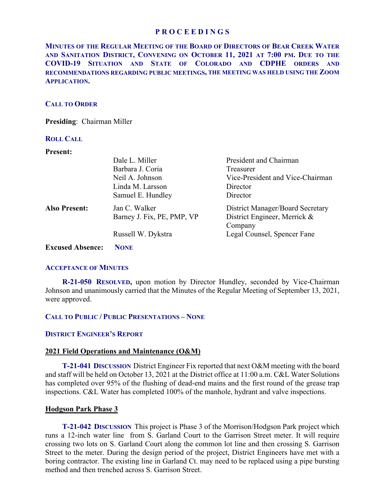**MINUTES OF THE REGULAR MEETING OF THE BOARD OF DIRECTORS OF BEAR CREEK WATER AND SANITATION DISTRICT, CONVENING ON OCTOBER 11, 2021 AT 7:00 PM. DUE TO THE COVID-19 SITUATION AND STATE OF COLORADO AND CDPHE ORDERS AND RECOMMENDATIONS REGARDING PUBLIC MEETINGS, THE MEETING WAS HELD USING THE ZOOM APPLICATION.**

## **CALL TO ORDER**

**Presiding**: Chairman Miller

# **ROLL CALL**

## **Present:**

|                         | Dale L. Miller             | President and Chairman                  |
|-------------------------|----------------------------|-----------------------------------------|
|                         | Barbara J. Coria           | Treasurer                               |
|                         | Neil A. Johnson            | Vice-President and Vice-Chairman        |
|                         | Linda M. Larsson           | Director                                |
|                         | Samuel E. Hundley          | Director                                |
| <b>Also Present:</b>    | Jan C. Walker              | <b>District Manager/Board Secretary</b> |
|                         | Barney J. Fix, PE, PMP, VP | District Engineer, Merrick &            |
|                         |                            | Company                                 |
|                         | Russell W. Dykstra         | Legal Counsel, Spencer Fane             |
| <b>Excused Absence:</b> | <b>NONE</b>                |                                         |

#### **ACCEPTANCE OF MINUTES**

 **R-21-050 RESOLVED,** upon motion by Director Hundley, seconded by Vice-Chairman Johnson and unanimously carried that the Minutes of the Regular Meeting of September 13, 2021, were approved.

# **CALL TO PUBLIC / PUBLIC PRESENTATIONS – NONE**

# **DISTRICT ENGINEER'S REPORT**

#### **2021 Field Operations and Maintenance (O&M)**

 **T-21-041 DISCUSSION** District Engineer Fix reported that next O&M meeting with the board and staff will be held on October 13, 2021 at the District office at 11:00 a.m. C&L Water Solutions has completed over 95% of the flushing of dead-end mains and the first round of the grease trap inspections. C&L Water has completed 100% of the manhole, hydrant and valve inspections.

## **Hodgson Park Phase 3**

 **T-21-042 DISCUSSION** This project is Phase 3 of the Morrison/Hodgson Park project which runs a 12-inch water line from S. Garland Court to the Garrison Street meter. It will require crossing two lots on S. Garland Court along the common lot line and then crossing S. Garrison Street to the meter. During the design period of the project, District Engineers have met with a boring contractor. The existing line in Garland Ct. may need to be replaced using a pipe bursting method and then trenched across S. Garrison Street.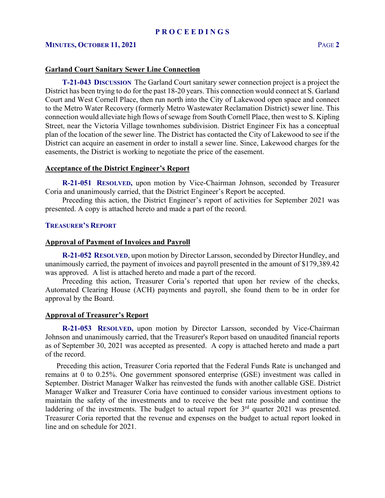## **MINUTES, OCTOBER 11, 2021** PAGE **2**

#### **Garland Court Sanitary Sewer Line Connection**

 **T-21-043 DISCUSSION** The Garland Court sanitary sewer connection project is a project the District has been trying to do for the past 18-20 years. This connection would connect at S. Garland Court and West Cornell Place, then run north into the City of Lakewood open space and connect to the Metro Water Recovery (formerly Metro Wastewater Reclamation District) sewer line. This connection would alleviate high flows of sewage from South Cornell Place, then west to S. Kipling Street, near the Victoria Village townhomes subdivision. District Engineer Fix has a conceptual plan of the location of the sewer line. The District has contacted the City of Lakewood to see if the District can acquire an easement in order to install a sewer line. Since, Lakewood charges for the easements, the District is working to negotiate the price of the easement.

#### **Acceptance of the District Engineer's Report**

**R-21-051 RESOLVED,** upon motion by Vice-Chairman Johnson, seconded by Treasurer Coria and unanimously carried, that the District Engineer's Report be accepted.

 Preceding this action, the District Engineer's report of activities for September 2021 was presented. A copy is attached hereto and made a part of the record.

## **TREASURER'S REPORT**

#### **Approval of Payment of Invoices and Payroll**

 **R-21-052 RESOLVED**, upon motion by Director Larsson, seconded by Director Hundley, and unanimously carried, the payment of invoices and payroll presented in the amount of \$179,389.42 was approved. A list is attached hereto and made a part of the record.

 Preceding this action, Treasurer Coria's reported that upon her review of the checks, Automated Clearing House (ACH) payments and payroll, she found them to be in order for approval by the Board.

#### **Approval of Treasurer's Report**

 **R-21-053 RESOLVED,** upon motion by Director Larsson, seconded by Vice-Chairman Johnson and unanimously carried, that the Treasurer's Report based on unaudited financial reports as of September 30, 2021 was accepted as presented. A copy is attached hereto and made a part of the record.

 Preceding this action, Treasurer Coria reported that the Federal Funds Rate is unchanged and remains at 0 to 0.25%. One government sponsored enterprise (GSE) investment was called in September. District Manager Walker has reinvested the funds with another callable GSE. District Manager Walker and Treasurer Coria have continued to consider various investment options to maintain the safety of the investments and to receive the best rate possible and continue the laddering of the investments. The budget to actual report for 3<sup>rd</sup> quarter 2021 was presented. Treasurer Coria reported that the revenue and expenses on the budget to actual report looked in line and on schedule for 2021.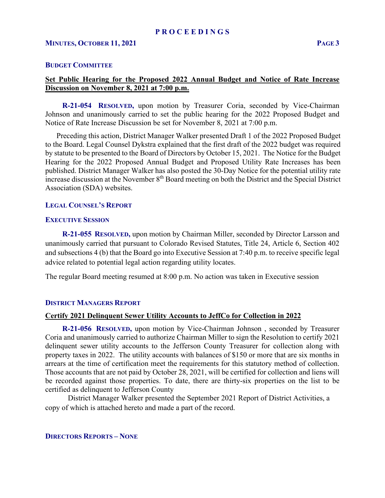## **BUDGET COMMITTEE**

# **Set Public Hearing for the Proposed 2022 Annual Budget and Notice of Rate Increase Discussion on November 8, 2021 at 7:00 p.m.**

 **R-21-054 RESOLVED,** upon motion by Treasurer Coria, seconded by Vice-Chairman Johnson and unanimously carried to set the public hearing for the 2022 Proposed Budget and Notice of Rate Increase Discussion be set for November 8, 2021 at 7:00 p.m.

 Preceding this action, District Manager Walker presented Draft 1 of the 2022 Proposed Budget to the Board. Legal Counsel Dykstra explained that the first draft of the 2022 budget was required by statute to be presented to the Board of Directors by October 15, 2021. The Notice for the Budget Hearing for the 2022 Proposed Annual Budget and Proposed Utility Rate Increases has been published. District Manager Walker has also posted the 30-Day Notice for the potential utility rate increase discussion at the November 8<sup>th</sup> Board meeting on both the District and the Special District Association (SDA) websites.

# **LEGAL COUNSEL'S REPORT**

# **EXECUTIVE SESSION**

 **R-21-055 RESOLVED,** upon motion by Chairman Miller, seconded by Director Larsson and unanimously carried that pursuant to Colorado Revised Statutes, Title 24, Article 6, Section 402 and subsections 4 (b) that the Board go into Executive Session at 7:40 p.m. to receive specific legal advice related to potential legal action regarding utility locates.

The regular Board meeting resumed at 8:00 p.m. No action was taken in Executive session

# **DISTRICT MANAGERS REPORT**

#### **Certify 2021 Delinquent Sewer Utility Accounts to JeffCo for Collection in 2022**

 **R-21-056 RESOLVED,** upon motion by Vice-Chairman Johnson , seconded by Treasurer Coria and unanimously carried to authorize Chairman Miller to sign the Resolution to certify 2021 delinquent sewer utility accounts to the Jefferson County Treasurer for collection along with property taxes in 2022. The utility accounts with balances of \$150 or more that are six months in arrears at the time of certification meet the requirements for this statutory method of collection. Those accounts that are not paid by October 28, 2021, will be certified for collection and liens will be recorded against those properties. To date, there are thirty-six properties on the list to be certified as delinquent to Jefferson County

 District Manager Walker presented the September 2021 Report of District Activities, a copy of which is attached hereto and made a part of the record.

**DIRECTORS REPORTS – NONE**